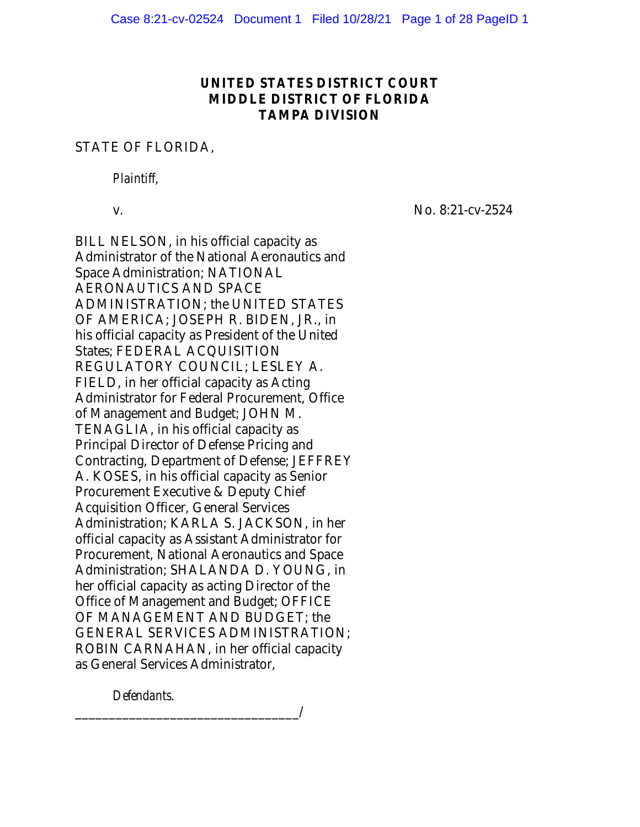# UNITED STATES DISTRICT COURT MIDDLE DISTRICT OF FLORIDA TAMPA DIVISION

## STATE OF FLORIDA,

*Plaintiff*,

v. No. 8:21-cv-2524

BILL NELSON, in his official capacity as Administrator of the National Aeronautics and Space Administration; NATIONAL AERONAUTICS AND SPACE ADMINISTRATION; the UNITED STATES OF AMERICA; JOSEPH R. BIDEN, JR., in his official capacity as President of the United States; FEDERAL ACQUISITION REGULATORY COUNCIL; LESLEY A. FIELD, in her official capacity as Acting Administrator for Federal Procurement, Office of Management and Budget; JOHN M. TENAGLIA, in his official capacity as Principal Director of Defense Pricing and Contracting, Department of Defense; JEFFREY A. KOSES, in his official capacity as Senior Procurement Executive & Deputy Chief Acquisition Officer, General Services Administration; KARLA S. JACKSON, in her official capacity as Assistant Administrator for Procurement, National Aeronautics and Space Administration; SHALANDA D. YOUNG, in her official capacity as acting Director of the Office of Management and Budget; OFFICE OF MANAGEMENT AND BUDGET; the GENERAL SERVICES ADMINISTRATION; ROBIN CARNAHAN, in her official capacity as General Services Administrator,

*Defendants*.

\_\_\_\_\_\_\_\_\_\_\_\_\_\_\_\_\_\_\_\_\_\_\_\_\_\_\_\_\_\_\_\_\_/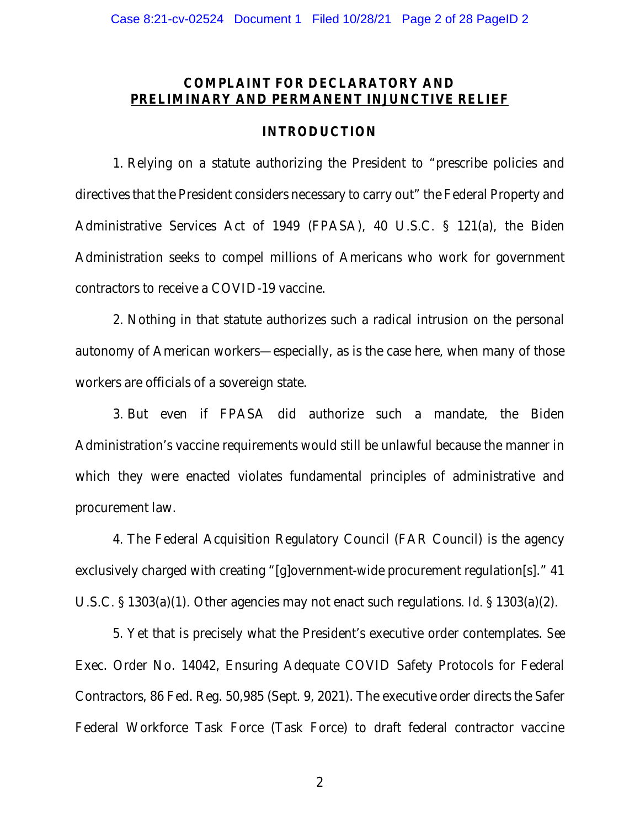# COMPLAINT FOR DECLARATORY AND PRELIMINARY AND PERMANENT INJUNCTIVE RELIEF

### INTRODUCTION

1. Relying on a statute authorizing the President to "prescribe policies and directives that the President considers necessary to carry out" the Federal Property and Administrative Services Act of 1949 (FPASA), 40 U.S.C. § 121(a), the Biden Administration seeks to compel millions of Americans who work for government contractors to receive a COVID-19 vaccine.

2. Nothing in that statute authorizes such a radical intrusion on the personal autonomy of American workers—especially, as is the case here, when many of those workers are officials of a sovereign state.

3. But even if FPASA did authorize such a mandate, the Biden Administration's vaccine requirements would still be unlawful because the manner in which they were enacted violates fundamental principles of administrative and procurement law.

4. The Federal Acquisition Regulatory Council (FAR Council) is the agency exclusively charged with creating "[g]overnment-wide procurement regulation[s]." 41 U.S.C. § 1303(a)(1). Other agencies may not enact such regulations. *Id.* § 1303(a)(2).

5. Yet that is precisely what the President's executive order contemplates. *See*  Exec. Order No. 14042, Ensuring Adequate COVID Safety Protocols for Federal Contractors, 86 Fed. Reg. 50,985 (Sept. 9, 2021). The executive order directs the Safer Federal Workforce Task Force (Task Force) to draft federal contractor vaccine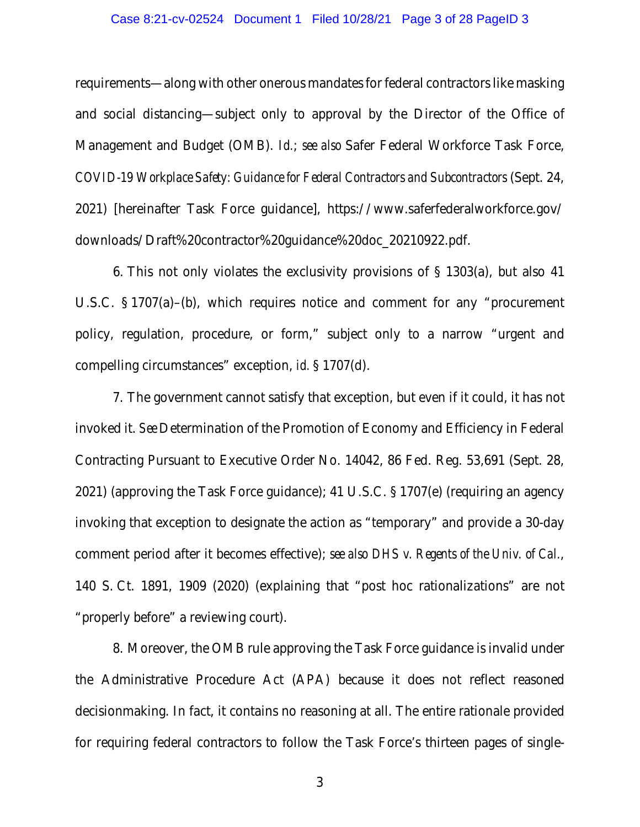### Case 8:21-cv-02524 Document 1 Filed 10/28/21 Page 3 of 28 PageID 3

requirements—along with other onerous mandates for federal contractors like masking and social distancing—subject only to approval by the Director of the Office of Management and Budget (OMB). *Id.*; *see also* Safer Federal Workforce Task Force, *COVID-19 Workplace Safety: Guidance for Federal Contractors and Subcontractors* (Sept. 24, 2021) [hereinafter Task Force guidance], https://www.saferfederalworkforce.gov/ downloads/Draft%20contractor%20guidance%20doc\_20210922.pdf.

6. This not only violates the exclusivity provisions of § 1303(a), but also 41 U.S.C. § 1707(a)–(b), which requires notice and comment for any "procurement policy, regulation, procedure, or form," subject only to a narrow "urgent and compelling circumstances" exception, *id.* § 1707(d).

7. The government cannot satisfy that exception, but even if it could, it has not invoked it. *See* Determination of the Promotion of Economy and Efficiency in Federal Contracting Pursuant to Executive Order No. 14042, 86 Fed. Reg. 53,691 (Sept. 28, 2021) (approving the Task Force guidance); 41 U.S.C. § 1707(e) (requiring an agency invoking that exception to designate the action as "temporary" and provide a 30-day comment period after it becomes effective); *see also DHS v. Regents of the Univ. of Cal.*, 140 S. Ct. 1891, 1909 (2020) (explaining that "post hoc rationalizations" are not "properly before" a reviewing court).

8. Moreover, the OMB rule approving the Task Force guidance is invalid under the Administrative Procedure Act (APA) because it does not reflect reasoned decisionmaking. In fact, it contains no reasoning at all. The entire rationale provided for requiring federal contractors to follow the Task Force's thirteen pages of single-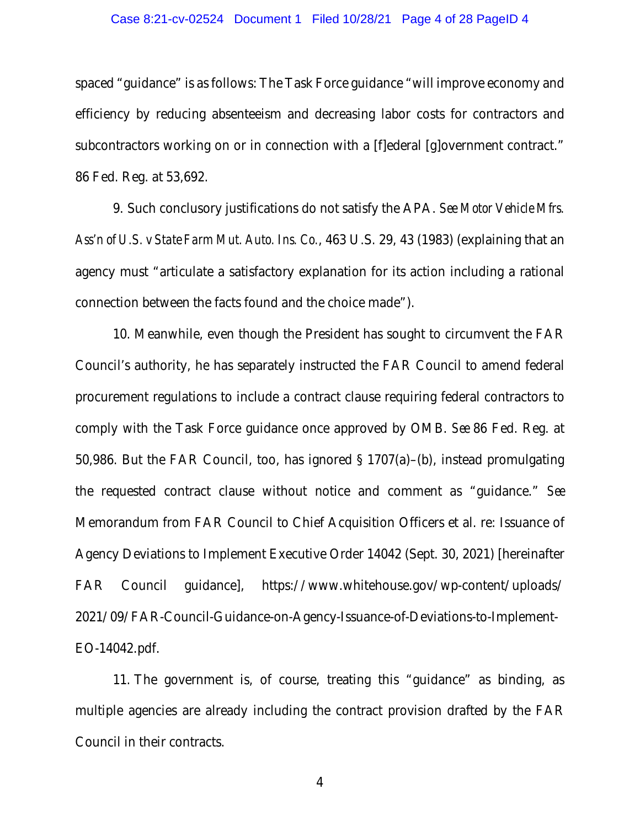#### Case 8:21-cv-02524 Document 1 Filed 10/28/21 Page 4 of 28 PageID 4

spaced "guidance" is as follows: The Task Force guidance "will improve economy and efficiency by reducing absenteeism and decreasing labor costs for contractors and subcontractors working on or in connection with a [f]ederal [g]overnment contract." 86 Fed. Reg. at 53,692.

9. Such conclusory justifications do not satisfy the APA. *See Motor Vehicle Mfrs. Ass'n of U.S. v State Farm Mut. Auto. Ins. Co.*, 463 U.S. 29, 43 (1983) (explaining that an agency must "articulate a satisfactory explanation for its action including a rational connection between the facts found and the choice made").

10. Meanwhile, even though the President has sought to circumvent the FAR Council's authority, he has separately instructed the FAR Council to amend federal procurement regulations to include a contract clause requiring federal contractors to comply with the Task Force guidance once approved by OMB. *See* 86 Fed. Reg. at 50,986. But the FAR Council, too, has ignored § 1707(a)–(b), instead promulgating the requested contract clause without notice and comment as "guidance." *See* Memorandum from FAR Council to Chief Acquisition Officers et al. re: Issuance of Agency Deviations to Implement Executive Order 14042 (Sept. 30, 2021) [hereinafter FAR Council guidance], https://www.whitehouse.gov/wp-content/uploads/ 2021/09/FAR-Council-Guidance-on-Agency-Issuance-of-Deviations-to-Implement-EO-14042.pdf.

11. The government is, of course, treating this "guidance" as binding, as multiple agencies are already including the contract provision drafted by the FAR Council in their contracts.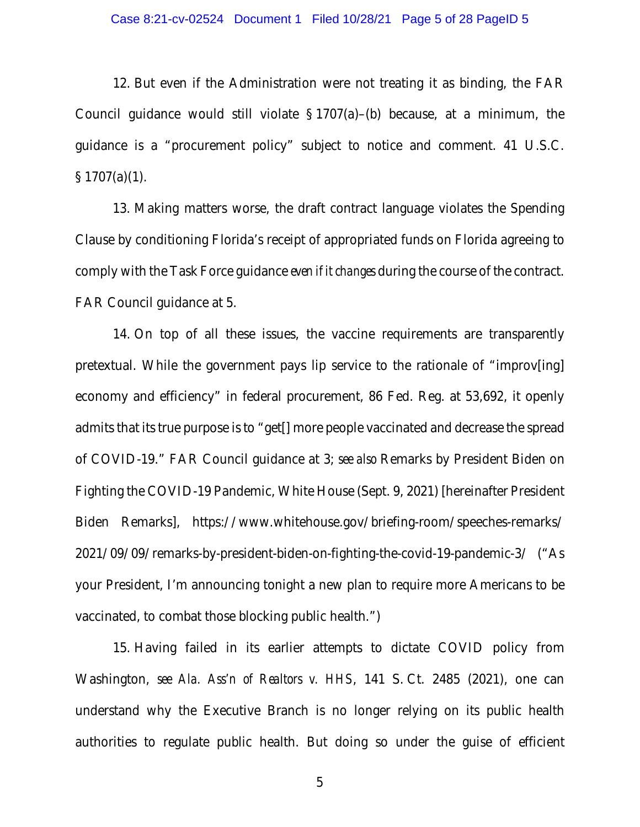12. But even if the Administration were not treating it as binding, the FAR Council guidance would still violate  $\S 1707(a)$ –(b) because, at a minimum, the guidance is a "procurement policy" subject to notice and comment. 41 U.S.C.  $\S 1707(a)(1)$ .

13. Making matters worse, the draft contract language violates the Spending Clause by conditioning Florida's receipt of appropriated funds on Florida agreeing to comply with the Task Force guidance *even if it changes* during the course of the contract. FAR Council guidance at 5.

14. On top of all these issues, the vaccine requirements are transparently pretextual. While the government pays lip service to the rationale of "improv[ing] economy and efficiency" in federal procurement, 86 Fed. Reg. at 53,692, it openly admits that its true purpose is to "get[] more people vaccinated and decrease the spread of COVID-19." FAR Council guidance at 3; *see also* Remarks by President Biden on Fighting the COVID-19 Pandemic, White House (Sept. 9, 2021) [hereinafter President Biden Remarks], https://www.whitehouse.gov/briefing-room/speeches-remarks/ 2021/09/09/remarks-by-president-biden-on-fighting-the-covid-19-pandemic-3/ ("As your President, I'm announcing tonight a new plan to require more Americans to be vaccinated, to combat those blocking public health.")

15. Having failed in its earlier attempts to dictate COVID policy from Washington, *see Ala. Ass'n of Realtors v. HHS*, 141 S. Ct. 2485 (2021), one can understand why the Executive Branch is no longer relying on its public health authorities to regulate public health. But doing so under the guise of efficient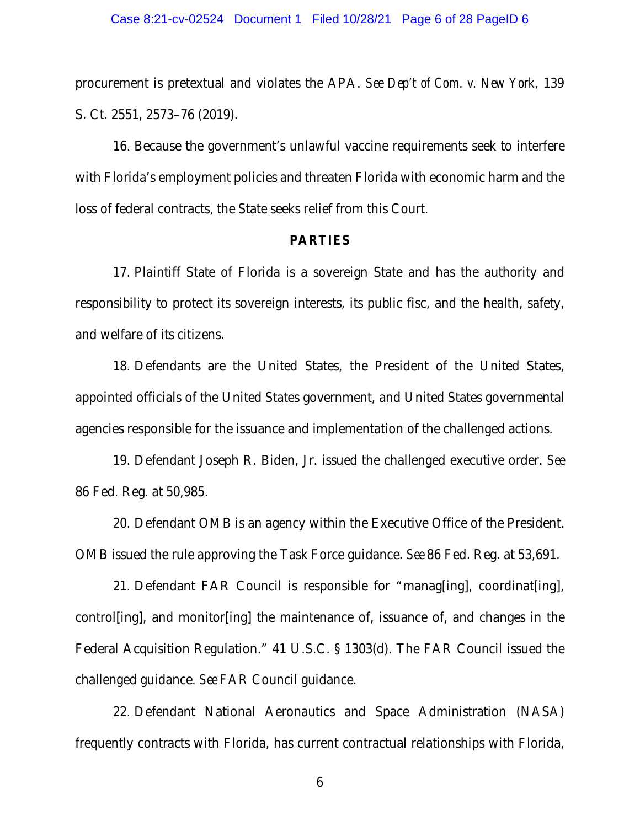procurement is pretextual and violates the APA. *See Dep't of Com. v. New York*, 139 S. Ct. 2551, 2573–76 (2019).

16. Because the government's unlawful vaccine requirements seek to interfere with Florida's employment policies and threaten Florida with economic harm and the loss of federal contracts, the State seeks relief from this Court.

### PARTIES

17. Plaintiff State of Florida is a sovereign State and has the authority and responsibility to protect its sovereign interests, its public fisc, and the health, safety, and welfare of its citizens.

18. Defendants are the United States, the President of the United States, appointed officials of the United States government, and United States governmental agencies responsible for the issuance and implementation of the challenged actions.

19. Defendant Joseph R. Biden, Jr. issued the challenged executive order. *See*  86 Fed. Reg. at 50,985.

20. Defendant OMB is an agency within the Executive Office of the President. OMB issued the rule approving the Task Force guidance. *See* 86 Fed. Reg. at 53,691.

21. Defendant FAR Council is responsible for "manag[ing], coordinat[ing], control[ing], and monitor[ing] the maintenance of, issuance of, and changes in the Federal Acquisition Regulation." 41 U.S.C. § 1303(d). The FAR Council issued the challenged guidance. *See* FAR Council guidance.

22. Defendant National Aeronautics and Space Administration (NASA) frequently contracts with Florida, has current contractual relationships with Florida,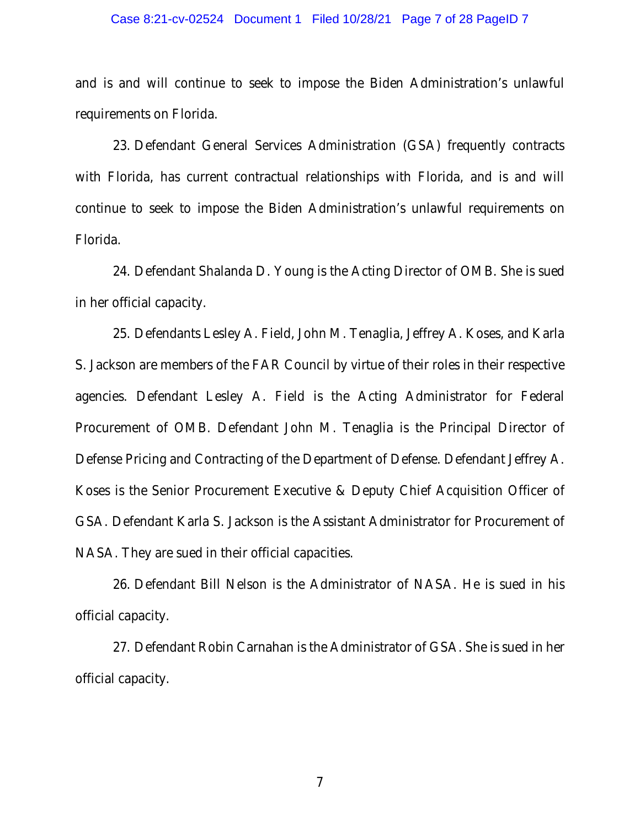#### Case 8:21-cv-02524 Document 1 Filed 10/28/21 Page 7 of 28 PageID 7

and is and will continue to seek to impose the Biden Administration's unlawful requirements on Florida.

23. Defendant General Services Administration (GSA) frequently contracts with Florida, has current contractual relationships with Florida, and is and will continue to seek to impose the Biden Administration's unlawful requirements on Florida.

24. Defendant Shalanda D. Young is the Acting Director of OMB. She is sued in her official capacity.

25. Defendants Lesley A. Field, John M. Tenaglia, Jeffrey A. Koses, and Karla S. Jackson are members of the FAR Council by virtue of their roles in their respective agencies. Defendant Lesley A. Field is the Acting Administrator for Federal Procurement of OMB. Defendant John M. Tenaglia is the Principal Director of Defense Pricing and Contracting of the Department of Defense. Defendant Jeffrey A. Koses is the Senior Procurement Executive & Deputy Chief Acquisition Officer of GSA. Defendant Karla S. Jackson is the Assistant Administrator for Procurement of NASA. They are sued in their official capacities.

26. Defendant Bill Nelson is the Administrator of NASA. He is sued in his official capacity.

27. Defendant Robin Carnahan is the Administrator of GSA. She is sued in her official capacity.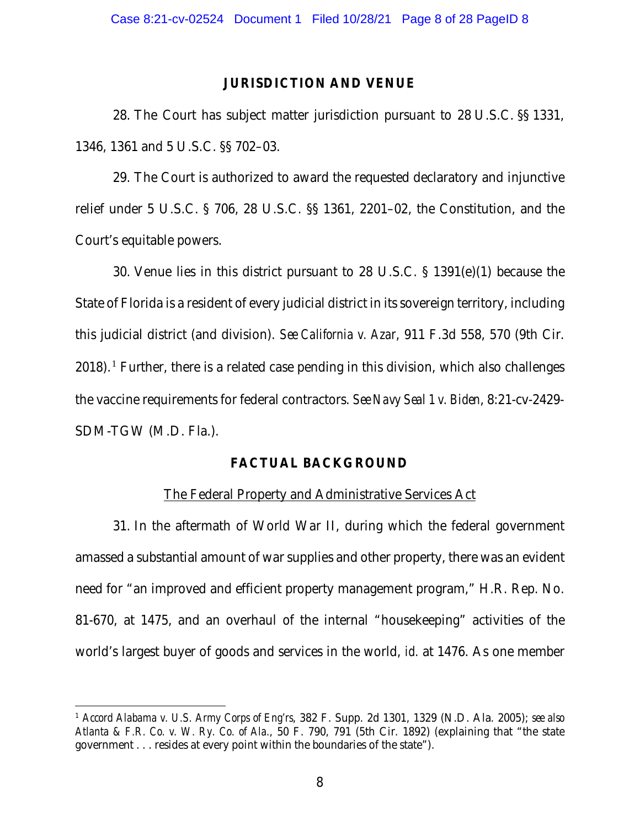## JURISDICTION AND VENUE

28. The Court has subject matter jurisdiction pursuant to 28 U.S.C. §§ 1331, 1346, 1361 and 5 U.S.C. §§ 702–03.

29. The Court is authorized to award the requested declaratory and injunctive relief under 5 U.S.C. § 706, 28 U.S.C. §§ 1361, 2201–02, the Constitution, and the Court's equitable powers.

30. Venue lies in this district pursuant to 28 U.S.C. § 1391(e)(1) because the State of Florida is a resident of every judicial district in its sovereign territory, including this judicial district (and division). *See California v. Azar*, 911 F.3d 558, 570 (9th Cir.  $2018$  $2018$  $2018$ ).<sup>1</sup> Further, there is a related case pending in this division, which also challenges the vaccine requirements for federal contractors. *See Navy Seal 1 v. Biden*, 8:21-cv-2429- SDM-TGW (M.D. Fla.).

# FACTUAL BACKGROUND

## The Federal Property and Administrative Services Act

31. In the aftermath of World War II, during which the federal government amassed a substantial amount of war supplies and other property, there was an evident need for "an improved and efficient property management program," H.R. Rep. No. 81-670, at 1475, and an overhaul of the internal "housekeeping" activities of the world's largest buyer of goods and services in the world, *id.* at 1476. As one member

<span id="page-7-0"></span><sup>1</sup> *Accord Alabama v. U.S. Army Corps of Eng'rs*, 382 F. Supp. 2d 1301, 1329 (N.D. Ala. 2005); *see also Atlanta & F.R. Co. v. W. Ry. Co. of Ala.*, 50 F. 790, 791 (5th Cir. 1892) (explaining that "the state government . . . resides at every point within the boundaries of the state").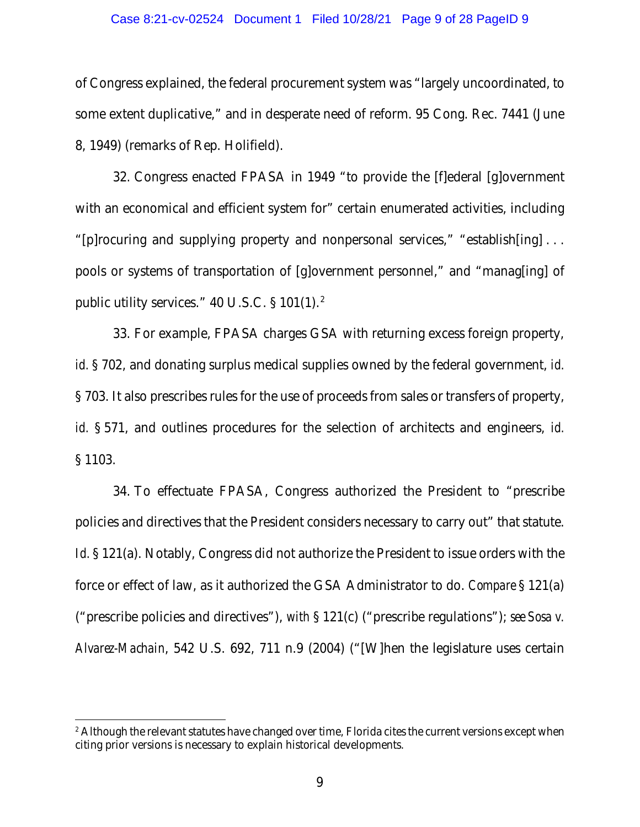#### Case 8:21-cv-02524 Document 1 Filed 10/28/21 Page 9 of 28 PageID 9

of Congress explained, the federal procurement system was "largely uncoordinated, to some extent duplicative," and in desperate need of reform. 95 Cong. Rec. 7441 (June 8, 1949) (remarks of Rep. Holifield).

32. Congress enacted FPASA in 1949 "to provide the [f]ederal [g]overnment with an economical and efficient system for" certain enumerated activities, including "[p]rocuring and supplying property and nonpersonal services," "establish[ing] . . . pools or systems of transportation of [g]overnment personnel," and "manag[ing] of public utility services."  $40$  U.S.C. §  $101(1)$ .<sup>[2](#page-8-0)</sup>

33. For example, FPASA charges GSA with returning excess foreign property, *id.* § 702, and donating surplus medical supplies owned by the federal government, *id.*  § 703. It also prescribes rules for the use of proceeds from sales or transfers of property, *id.* § 571, and outlines procedures for the selection of architects and engineers, *id.* § 1103.

34. To effectuate FPASA, Congress authorized the President to "prescribe policies and directives that the President considers necessary to carry out" that statute. *Id.* § 121(a). Notably, Congress did not authorize the President to issue orders with the force or effect of law, as it authorized the GSA Administrator to do. *Compare* § 121(a) ("prescribe policies and directives"), *with* § 121(c) ("prescribe regulations"); *see Sosa v. Alvarez-Machain*, 542 U.S. 692, 711 n.9 (2004) ("[W]hen the legislature uses certain

<span id="page-8-0"></span><sup>&</sup>lt;sup>2</sup> Although the relevant statutes have changed over time, Florida cites the current versions except when citing prior versions is necessary to explain historical developments.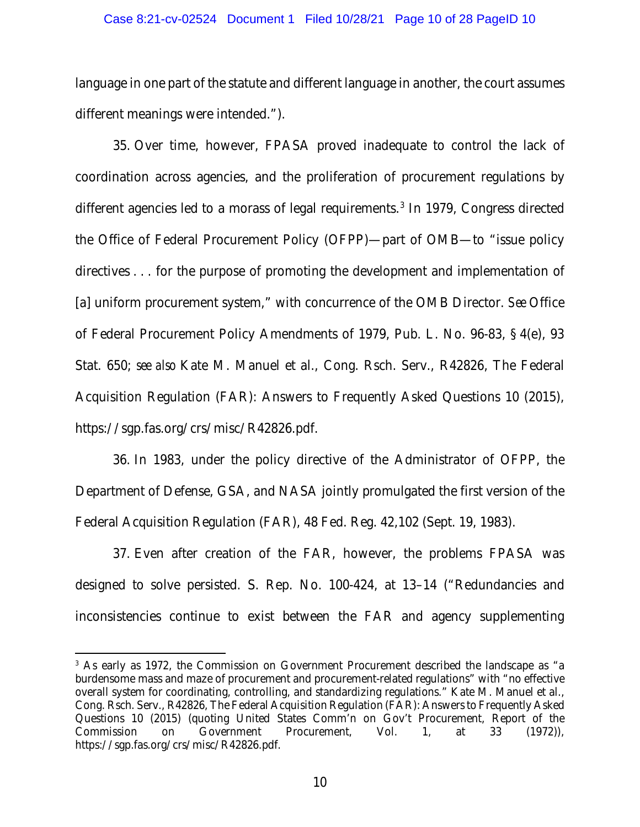#### Case 8:21-cv-02524 Document 1 Filed 10/28/21 Page 10 of 28 PageID 10

language in one part of the statute and different language in another, the court assumes different meanings were intended.").

35. Over time, however, FPASA proved inadequate to control the lack of coordination across agencies, and the proliferation of procurement regulations by different agencies led to a morass of legal requirements. [3](#page-9-0) In 1979, Congress directed the Office of Federal Procurement Policy (OFPP)—part of OMB—to "issue policy directives . . . for the purpose of promoting the development and implementation of [a] uniform procurement system," with concurrence of the OMB Director. *See* Office of Federal Procurement Policy Amendments of 1979, Pub. L. No. 96-83, § 4(e), 93 Stat. 650; *see also* Kate M. Manuel et al., Cong. Rsch. Serv., R42826, The Federal Acquisition Regulation (FAR): Answers to Frequently Asked Questions 10 (2015), https://sgp.fas.org/crs/misc/R42826.pdf.

36. In 1983, under the policy directive of the Administrator of OFPP, the Department of Defense, GSA, and NASA jointly promulgated the first version of the Federal Acquisition Regulation (FAR), 48 Fed. Reg. 42,102 (Sept. 19, 1983).

37. Even after creation of the FAR, however, the problems FPASA was designed to solve persisted. S. Rep. No. 100-424, at 13–14 ("Redundancies and inconsistencies continue to exist between the FAR and agency supplementing

<span id="page-9-0"></span><sup>3</sup> As early as 1972, the Commission on Government Procurement described the landscape as "a burdensome mass and maze of procurement and procurement-related regulations" with "no effective overall system for coordinating, controlling, and standardizing regulations." Kate M. Manuel et al., Cong. Rsch. Serv., R42826, The Federal Acquisition Regulation (FAR): Answers to Frequently Asked Questions 10 (2015) (quoting United States Comm'n on Gov't Procurement, Report of the Commission on Government Procurement, Vol. 1, at 33 (1972)), https://sgp.fas.org/crs/misc/R42826.pdf.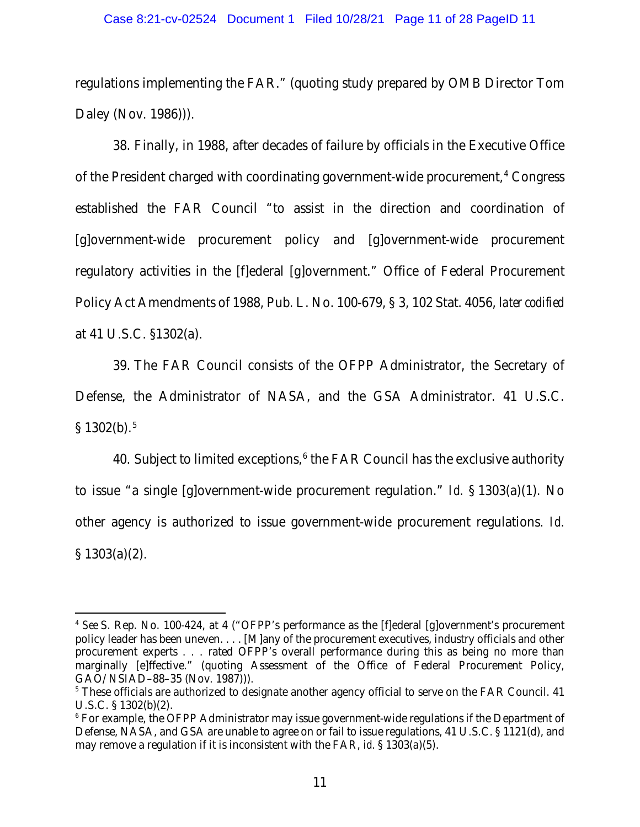#### Case 8:21-cv-02524 Document 1 Filed 10/28/21 Page 11 of 28 PageID 11

regulations implementing the FAR." (quoting study prepared by OMB Director Tom Daley (Nov. 1986))).

38. Finally, in 1988, after decades of failure by officials in the Executive Office of the President charged with coordinating government-wide procurement, [4](#page-10-0) Congress established the FAR Council "to assist in the direction and coordination of [g]overnment-wide procurement policy and [g]overnment-wide procurement regulatory activities in the [f]ederal [g]overnment." Office of Federal Procurement Policy Act Amendments of 1988, Pub. L. No. 100-679, § 3, 102 Stat. 4056, *later codified* at 41 U.S.C. §1302(a).

39. The FAR Council consists of the OFPP Administrator, the Secretary of Defense, the Administrator of NASA, and the GSA Administrator. 41 U.S.C.  $$1302(b).<sup>5</sup>$  $$1302(b).<sup>5</sup>$  $$1302(b).<sup>5</sup>$ 

40. Subject to limited exceptions, $6$  the FAR Council has the exclusive authority to issue "a single [g]overnment-wide procurement regulation." *Id.* § 1303(a)(1). No other agency is authorized to issue government-wide procurement regulations. *Id.*  $§ 1303(a)(2).$ 

<span id="page-10-0"></span><sup>4</sup> *See* S. Rep. No. 100-424, at 4 ("OFPP's performance as the [f]ederal [g]overnment's procurement policy leader has been uneven. . . . [M]any of the procurement executives, industry officials and other procurement experts . . . rated OFPP's overall performance during this as being no more than marginally [e]ffective." (quoting Assessment of the Office of Federal Procurement Policy, GAO/NSIAD–88–35 (Nov. 1987))).

<span id="page-10-1"></span><sup>&</sup>lt;sup>5</sup> These officials are authorized to designate another agency official to serve on the FAR Council. 41 U.S.C. § 1302(b)(2).

<span id="page-10-2"></span><sup>&</sup>lt;sup>6</sup> For example, the OFPP Administrator may issue government-wide regulations if the Department of Defense, NASA, and GSA are unable to agree on or fail to issue regulations, 41 U.S.C. § 1121(d), and may remove a regulation if it is inconsistent with the FAR, *id.* § 1303(a)(5).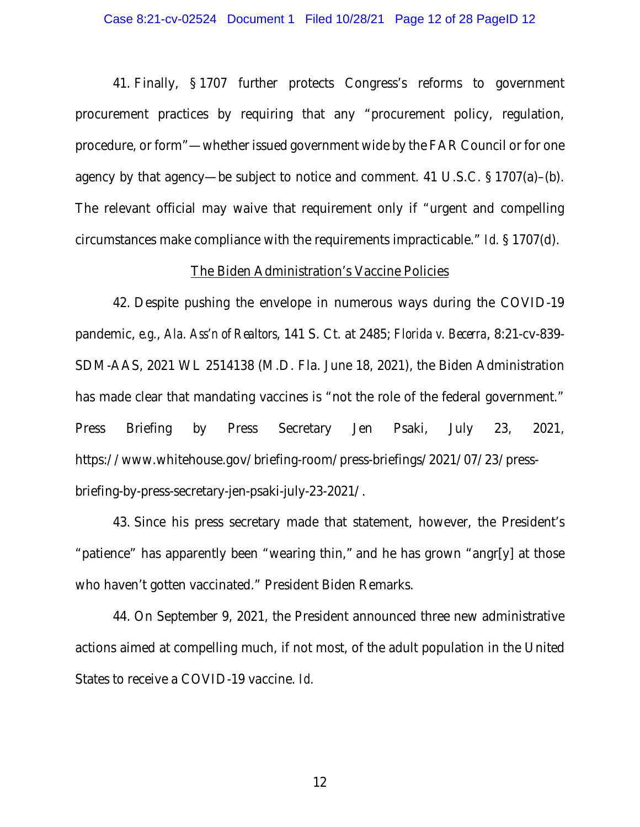41. Finally, § 1707 further protects Congress's reforms to government procurement practices by requiring that any "procurement policy, regulation, procedure, or form"—whether issued government wide by the FAR Council or for one agency by that agency—be subject to notice and comment. 41 U.S.C. § 1707(a)–(b). The relevant official may waive that requirement only if "urgent and compelling circumstances make compliance with the requirements impracticable." *Id.* § 1707(d).

## The Biden Administration's Vaccine Policies

42. Despite pushing the envelope in numerous ways during the COVID-19 pandemic, *e.g.*, *Ala. Ass'n of Realtors*, 141 S. Ct. at 2485; *Florida v. Becerra*, 8:21-cv-839- SDM-AAS, 2021 WL 2514138 (M.D. Fla. June 18, 2021), the Biden Administration has made clear that mandating vaccines is "not the role of the federal government." Press Briefing by Press Secretary Jen Psaki, July 23, 2021, https://www.whitehouse.gov/briefing-room/press-briefings/2021/07/23/pressbriefing-by-press-secretary-jen-psaki-july-23-2021/.

43. Since his press secretary made that statement, however, the President's "patience" has apparently been "wearing thin," and he has grown "angr[y] at those who haven't gotten vaccinated." President Biden Remarks.

44. On September 9, 2021, the President announced three new administrative actions aimed at compelling much, if not most, of the adult population in the United States to receive a COVID-19 vaccine. *Id.*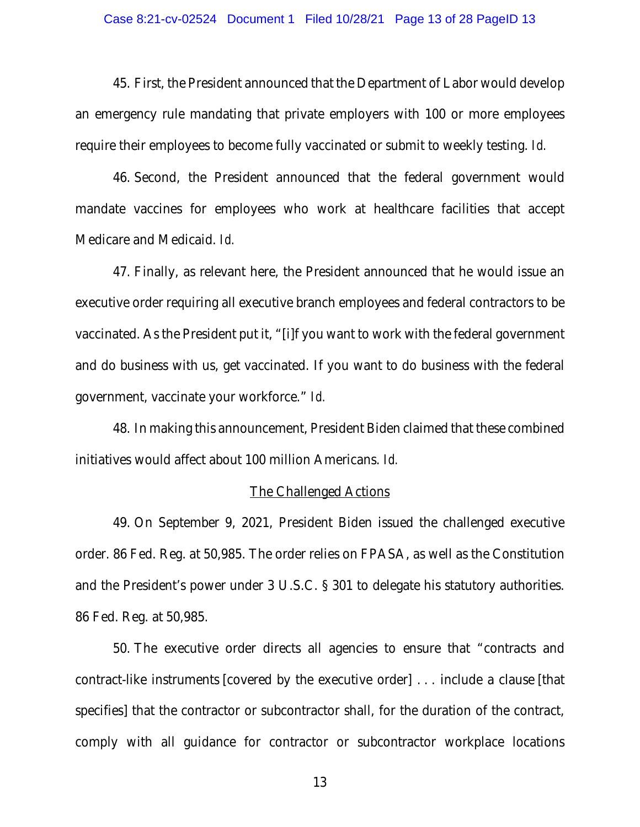#### Case 8:21-cv-02524 Document 1 Filed 10/28/21 Page 13 of 28 PageID 13

45. First, the President announced that the Department of Labor would develop an emergency rule mandating that private employers with 100 or more employees require their employees to become fully vaccinated or submit to weekly testing. *Id.*

46. Second, the President announced that the federal government would mandate vaccines for employees who work at healthcare facilities that accept Medicare and Medicaid. *Id.*

47. Finally, as relevant here, the President announced that he would issue an executive order requiring all executive branch employees and federal contractors to be vaccinated. As the President put it, "[i]f you want to work with the federal government and do business with us, get vaccinated. If you want to do business with the federal government, vaccinate your workforce." *Id.*

48. In making this announcement, President Biden claimed that these combined initiatives would affect about 100 million Americans. *Id.*

### The Challenged Actions

49. On September 9, 2021, President Biden issued the challenged executive order. 86 Fed. Reg. at 50,985. The order relies on FPASA, as well as the Constitution and the President's power under 3 U.S.C. § 301 to delegate his statutory authorities. 86 Fed. Reg. at 50,985.

50. The executive order directs all agencies to ensure that "contracts and contract-like instruments [covered by the executive order] . . . include a clause [that specifies] that the contractor or subcontractor shall, for the duration of the contract, comply with all guidance for contractor or subcontractor workplace locations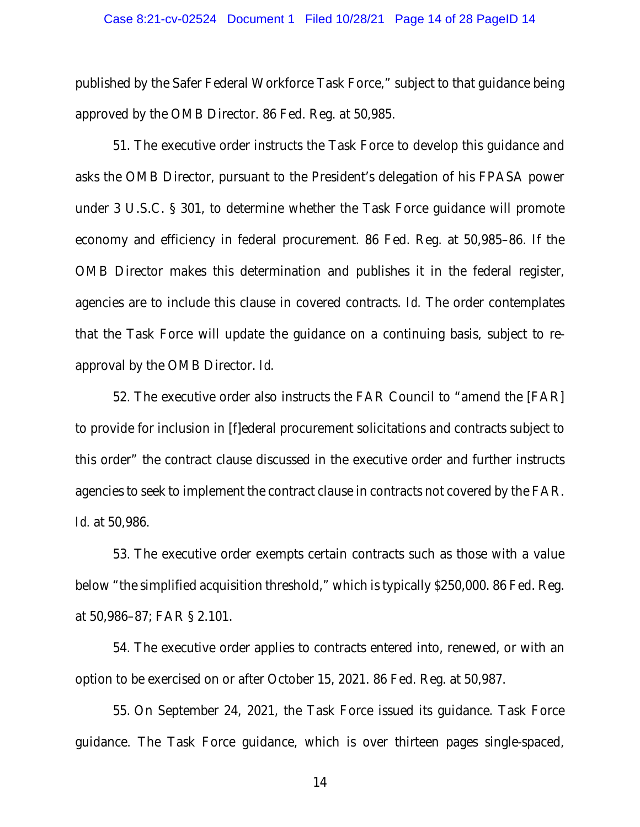#### Case 8:21-cv-02524 Document 1 Filed 10/28/21 Page 14 of 28 PageID 14

published by the Safer Federal Workforce Task Force," subject to that guidance being approved by the OMB Director. 86 Fed. Reg. at 50,985.

51. The executive order instructs the Task Force to develop this guidance and asks the OMB Director, pursuant to the President's delegation of his FPASA power under 3 U.S.C. § 301, to determine whether the Task Force guidance will promote economy and efficiency in federal procurement. 86 Fed. Reg. at 50,985–86. If the OMB Director makes this determination and publishes it in the federal register, agencies are to include this clause in covered contracts. *Id.* The order contemplates that the Task Force will update the guidance on a continuing basis, subject to reapproval by the OMB Director. *Id.*

52. The executive order also instructs the FAR Council to "amend the [FAR] to provide for inclusion in [f]ederal procurement solicitations and contracts subject to this order" the contract clause discussed in the executive order and further instructs agencies to seek to implement the contract clause in contracts not covered by the FAR. *Id.* at 50,986.

53. The executive order exempts certain contracts such as those with a value below "the simplified acquisition threshold," which is typically \$250,000. 86 Fed. Reg. at 50,986–87; FAR § 2.101.

54. The executive order applies to contracts entered into, renewed, or with an option to be exercised on or after October 15, 2021. 86 Fed. Reg. at 50,987.

55. On September 24, 2021, the Task Force issued its guidance. Task Force guidance. The Task Force guidance, which is over thirteen pages single-spaced,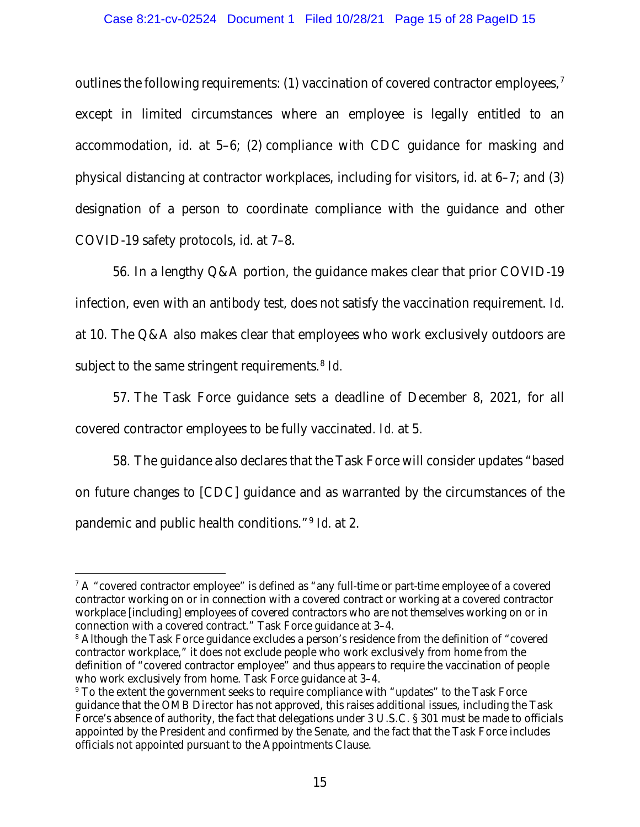outlines the following requirements: (1) vaccination of covered contractor employees,<sup>[7](#page-14-0)</sup> except in limited circumstances where an employee is legally entitled to an accommodation, *id.* at 5–6; (2) compliance with CDC guidance for masking and physical distancing at contractor workplaces, including for visitors, *id.* at 6–7; and (3) designation of a person to coordinate compliance with the guidance and other COVID-19 safety protocols, *id.* at 7–8.

56. In a lengthy Q&A portion, the guidance makes clear that prior COVID-19 infection, even with an antibody test, does not satisfy the vaccination requirement. *Id.*  at 10. The Q&A also makes clear that employees who work exclusively outdoors are subject to the same stringent requirements.<sup>8</sup> *Id.* 

57. The Task Force guidance sets a deadline of December 8, 2021, for all covered contractor employees to be fully vaccinated. *Id.* at 5.

58. The guidance also declares that the Task Force will consider updates "based on future changes to [CDC] guidance and as warranted by the circumstances of the pandemic and public health conditions."[9](#page-14-2) *Id.* at 2.

<span id="page-14-0"></span> $7A$  "covered contractor employee" is defined as "any full-time or part-time employee of a covered contractor working on or in connection with a covered contract or working at a covered contractor workplace [including] employees of covered contractors who are not themselves working on or in connection with a covered contract." Task Force guidance at 3–4.

<span id="page-14-1"></span><sup>&</sup>lt;sup>8</sup> Although the Task Force guidance excludes a person's residence from the definition of "covered" contractor workplace," it does not exclude people who work exclusively from home from the definition of "covered contractor employee" and thus appears to require the vaccination of people who work exclusively from home. Task Force guidance at 3–4.

<span id="page-14-2"></span><sup>&</sup>lt;sup>9</sup> To the extent the government seeks to require compliance with "updates" to the Task Force guidance that the OMB Director has not approved, this raises additional issues, including the Task Force's absence of authority, the fact that delegations under 3 U.S.C. § 301 must be made to officials appointed by the President and confirmed by the Senate, and the fact that the Task Force includes officials not appointed pursuant to the Appointments Clause.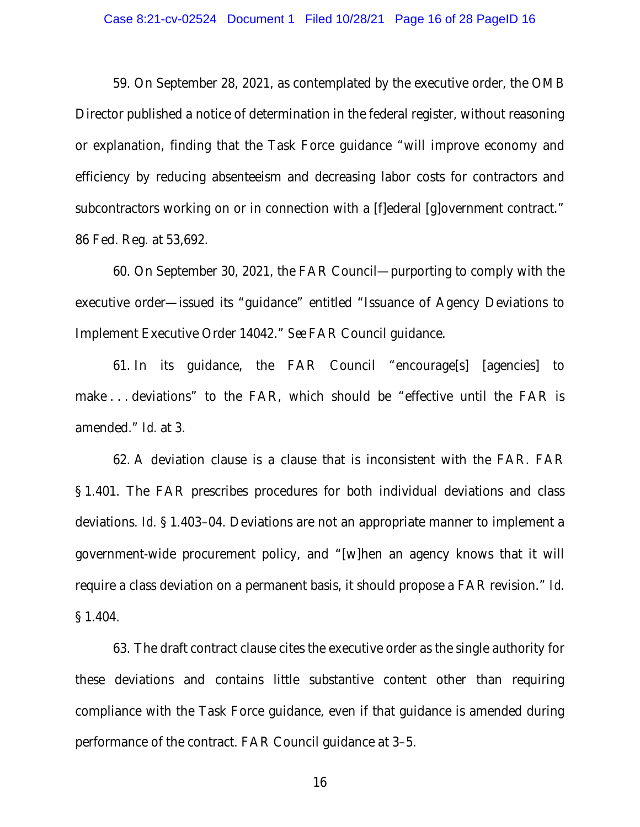#### Case 8:21-cv-02524 Document 1 Filed 10/28/21 Page 16 of 28 PageID 16

59. On September 28, 2021, as contemplated by the executive order, the OMB Director published a notice of determination in the federal register, without reasoning or explanation, finding that the Task Force guidance "will improve economy and efficiency by reducing absenteeism and decreasing labor costs for contractors and subcontractors working on or in connection with a [f]ederal [g]overnment contract." 86 Fed. Reg. at 53,692.

60. On September 30, 2021, the FAR Council—purporting to comply with the executive order—issued its "guidance" entitled "Issuance of Agency Deviations to Implement Executive Order 14042." *See* FAR Council guidance.

61. In its guidance, the FAR Council "encourage[s] [agencies] to make . . . deviations" to the FAR, which should be "effective until the FAR is amended." *Id.* at 3.

62. A deviation clause is a clause that is inconsistent with the FAR. FAR § 1.401. The FAR prescribes procedures for both individual deviations and class deviations. *Id.* § 1.403–04. Deviations are not an appropriate manner to implement a government-wide procurement policy, and "[w]hen an agency knows that it will require a class deviation on a permanent basis, it should propose a FAR revision." *Id.* § 1.404.

63. The draft contract clause cites the executive order as the single authority for these deviations and contains little substantive content other than requiring compliance with the Task Force guidance, even if that guidance is amended during performance of the contract. FAR Council guidance at 3–5.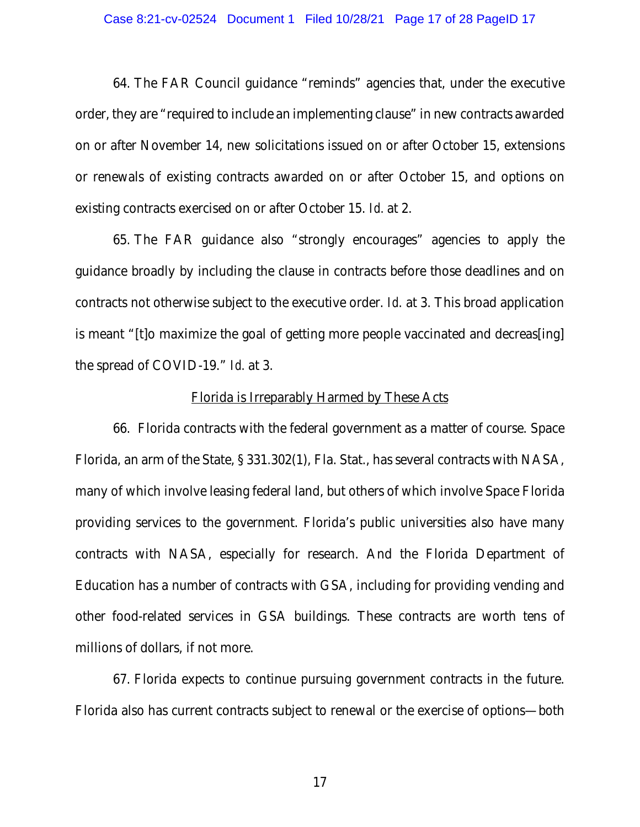#### Case 8:21-cv-02524 Document 1 Filed 10/28/21 Page 17 of 28 PageID 17

64. The FAR Council guidance "reminds" agencies that, under the executive order, they are "required to include an implementing clause" in new contracts awarded on or after November 14, new solicitations issued on or after October 15, extensions or renewals of existing contracts awarded on or after October 15, and options on existing contracts exercised on or after October 15. *Id.* at 2.

65. The FAR guidance also "strongly encourages" agencies to apply the guidance broadly by including the clause in contracts before those deadlines and on contracts not otherwise subject to the executive order. *Id*. at 3. This broad application is meant "[t]o maximize the goal of getting more people vaccinated and decreas[ing] the spread of COVID-19." *Id.* at 3.

### Florida is Irreparably Harmed by These Acts

66. Florida contracts with the federal government as a matter of course. Space Florida, an arm of the State, § 331.302(1), Fla. Stat., has several contracts with NASA, many of which involve leasing federal land, but others of which involve Space Florida providing services to the government. Florida's public universities also have many contracts with NASA, especially for research. And the Florida Department of Education has a number of contracts with GSA, including for providing vending and other food-related services in GSA buildings. These contracts are worth tens of millions of dollars, if not more.

67. Florida expects to continue pursuing government contracts in the future. Florida also has current contracts subject to renewal or the exercise of options—both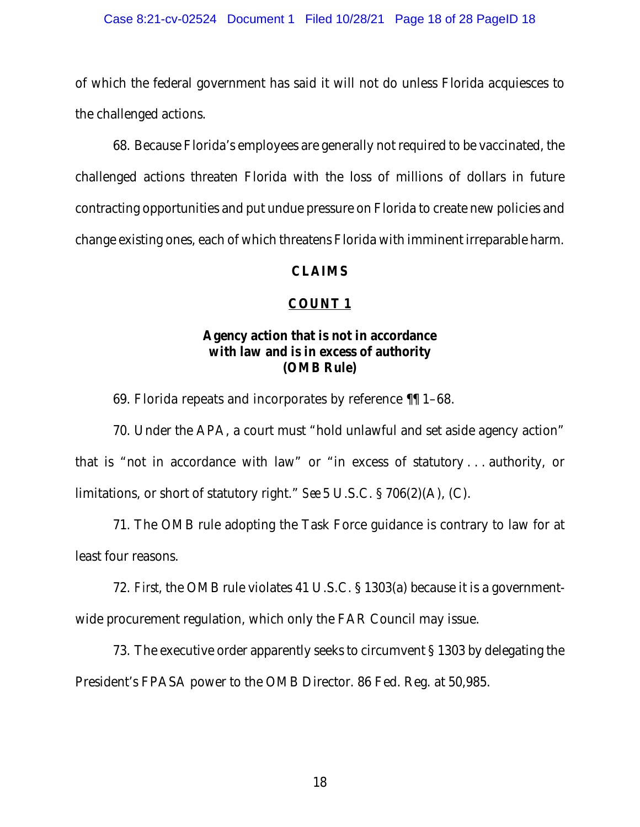#### Case 8:21-cv-02524 Document 1 Filed 10/28/21 Page 18 of 28 PageID 18

of which the federal government has said it will not do unless Florida acquiesces to the challenged actions.

68. Because Florida's employees are generally not required to be vaccinated, the challenged actions threaten Florida with the loss of millions of dollars in future contracting opportunities and put undue pressure on Florida to create new policies and change existing ones, each of which threatens Florida with imminent irreparable harm.

## CLAIMS

## COUNT 1

# Agency action that is not in accordance with law and is in excess of authority (OMB Rule)

69. Florida repeats and incorporates by reference ¶¶ 1–68.

70. Under the APA, a court must "hold unlawful and set aside agency action" that is "not in accordance with law" or "in excess of statutory . . . authority, or limitations, or short of statutory right." *See* 5 U.S.C. § 706(2)(A), (C).

71. The OMB rule adopting the Task Force guidance is contrary to law for at least four reasons.

72. *First*, the OMB rule violates 41 U.S.C. § 1303(a) because it is a governmentwide procurement regulation, which only the FAR Council may issue.

73. The executive order apparently seeks to circumvent § 1303 by delegating the President's FPASA power to the OMB Director. 86 Fed. Reg. at 50,985.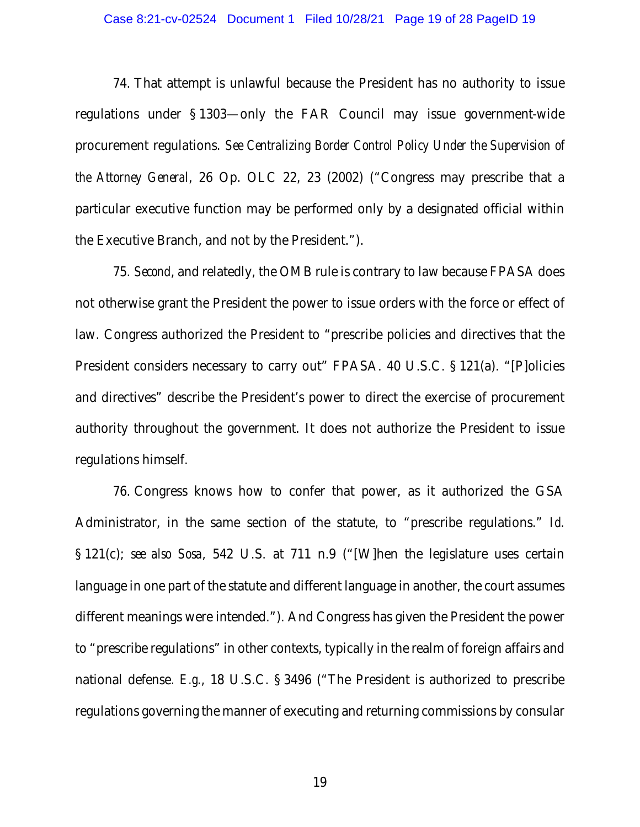#### Case 8:21-cv-02524 Document 1 Filed 10/28/21 Page 19 of 28 PageID 19

74. That attempt is unlawful because the President has no authority to issue regulations under § 1303—only the FAR Council may issue government-wide procurement regulations. *See Centralizing Border Control Policy Under the Supervision of the Attorney General*, 26 Op. OLC 22, 23 (2002) ("Congress may prescribe that a particular executive function may be performed only by a designated official within the Executive Branch, and not by the President.").

75. *Second*, and relatedly, the OMB rule is contrary to law because FPASA does not otherwise grant the President the power to issue orders with the force or effect of law. Congress authorized the President to "prescribe policies and directives that the President considers necessary to carry out" FPASA. 40 U.S.C. § 121(a). "[P]olicies and directives" describe the President's power to direct the exercise of procurement authority throughout the government. It does not authorize the President to issue regulations himself.

76. Congress knows how to confer that power, as it authorized the GSA Administrator, in the same section of the statute, to "prescribe regulations." *Id.* § 121(c); *see also Sosa*, 542 U.S. at 711 n.9 ("[W]hen the legislature uses certain language in one part of the statute and different language in another, the court assumes different meanings were intended."). And Congress has given the President the power to "prescribe regulations" in other contexts, typically in the realm of foreign affairs and national defense. *E.g.*, 18 U.S.C. § 3496 ("The President is authorized to prescribe regulations governing the manner of executing and returning commissions by consular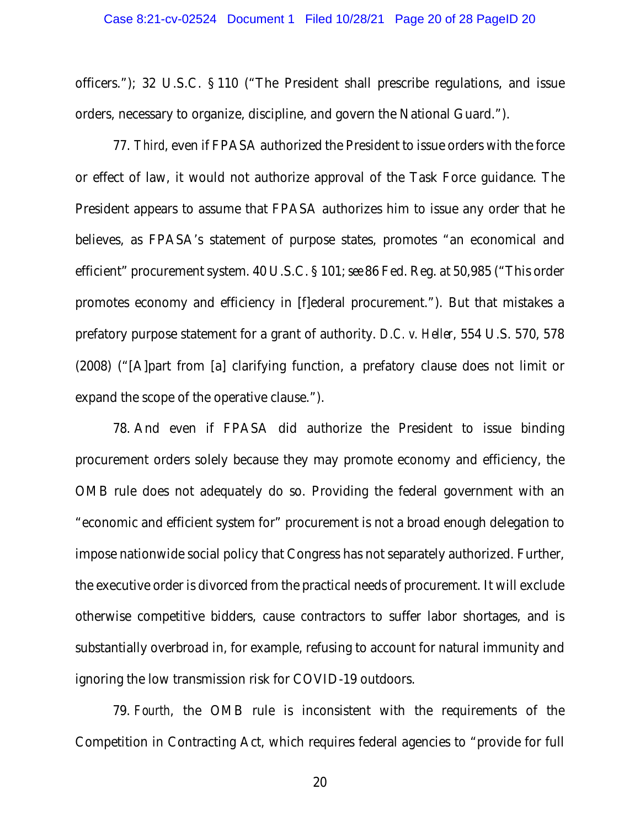officers."); 32 U.S.C. § 110 ("The President shall prescribe regulations, and issue orders, necessary to organize, discipline, and govern the National Guard.").

77. *Third*, even if FPASA authorized the President to issue orders with the force or effect of law, it would not authorize approval of the Task Force guidance. The President appears to assume that FPASA authorizes him to issue any order that he believes, as FPASA's statement of purpose states, promotes "an economical and efficient" procurement system. 40 U.S.C. § 101; *see* 86 Fed. Reg. at 50,985 ("This order promotes economy and efficiency in [f]ederal procurement."). But that mistakes a prefatory purpose statement for a grant of authority. *D.C. v. Heller*, 554 U.S. 570, 578 (2008) ("[A]part from [a] clarifying function, a prefatory clause does not limit or expand the scope of the operative clause.").

78. And even if FPASA did authorize the President to issue binding procurement orders solely because they may promote economy and efficiency, the OMB rule does not adequately do so. Providing the federal government with an "economic and efficient system for" procurement is not a broad enough delegation to impose nationwide social policy that Congress has not separately authorized. Further, the executive order is divorced from the practical needs of procurement. It will exclude otherwise competitive bidders, cause contractors to suffer labor shortages, and is substantially overbroad in, for example, refusing to account for natural immunity and ignoring the low transmission risk for COVID-19 outdoors.

79. *Fourth*, the OMB rule is inconsistent with the requirements of the Competition in Contracting Act, which requires federal agencies to "provide for full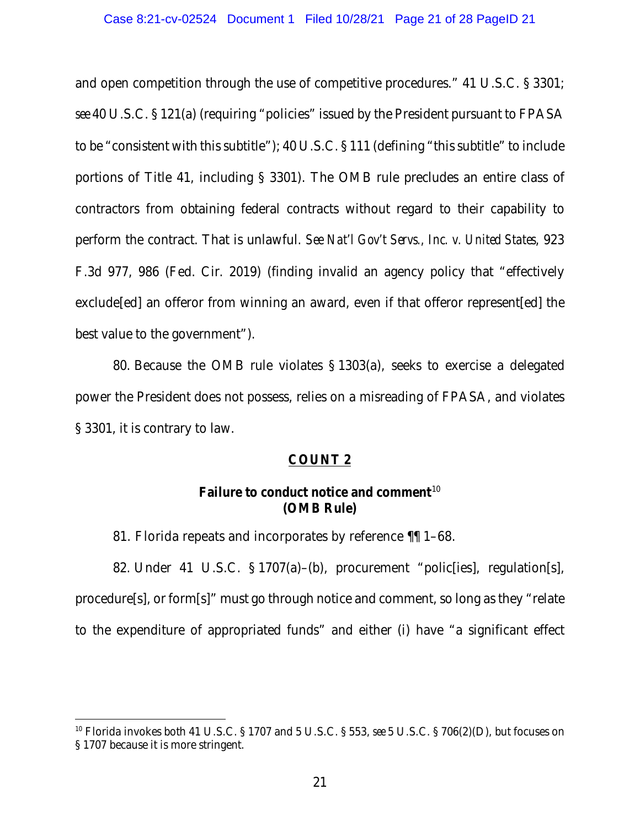and open competition through the use of competitive procedures." 41 U.S.C. § 3301; *see* 40 U.S.C. § 121(a) (requiring "policies" issued by the President pursuant to FPASA to be "consistent with this subtitle"); 40 U.S.C. § 111 (defining "this subtitle" to include portions of Title 41, including § 3301). The OMB rule precludes an entire class of contractors from obtaining federal contracts without regard to their capability to perform the contract. That is unlawful. *See Nat'l Gov't Servs., Inc. v. United States*, 923 F.3d 977, 986 (Fed. Cir. 2019) (finding invalid an agency policy that "effectively exclude[ed] an offeror from winning an award, even if that offeror represent[ed] the best value to the government").

80. Because the OMB rule violates § 1303(a), seeks to exercise a delegated power the President does not possess, relies on a misreading of FPASA, and violates § 3301, it is contrary to law.

## COUNT 2

# Failure to conduct notice and comment $10$ (OMB Rule)

81. Florida repeats and incorporates by reference ¶¶ 1–68.

82. Under 41 U.S.C. § 1707(a)–(b), procurement "polic[ies], regulation[s], procedure[s], or form[s]" must go through notice and comment, so long as they "relate to the expenditure of appropriated funds" and either (i) have "a significant effect

<span id="page-20-0"></span><sup>10</sup> Florida invokes both 41 U.S.C. § 1707 and 5 U.S.C. § 553, *see* 5 U.S.C. § 706(2)(D), but focuses on § 1707 because it is more stringent.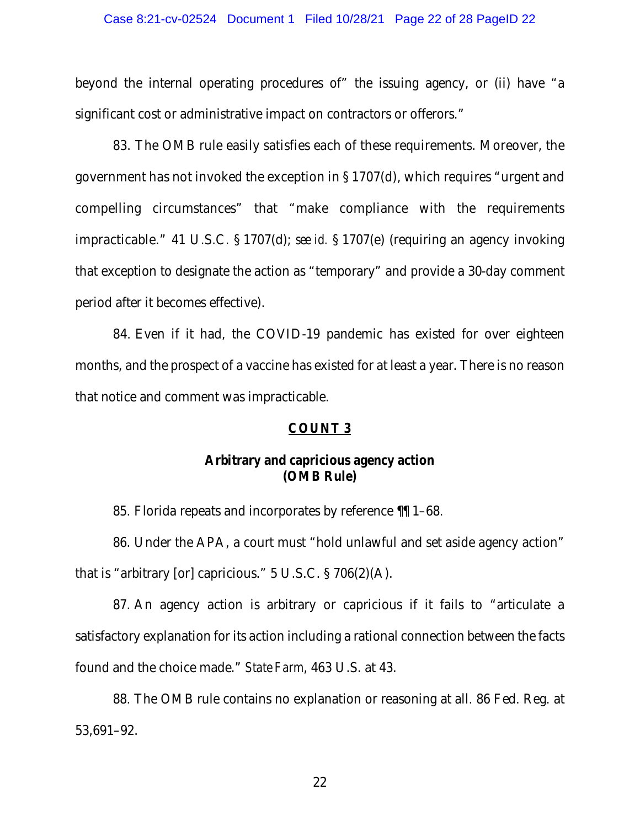#### Case 8:21-cv-02524 Document 1 Filed 10/28/21 Page 22 of 28 PageID 22

beyond the internal operating procedures of" the issuing agency, or (ii) have "a significant cost or administrative impact on contractors or offerors."

83. The OMB rule easily satisfies each of these requirements. Moreover, the government has not invoked the exception in § 1707(d), which requires "urgent and compelling circumstances" that "make compliance with the requirements impracticable." 41 U.S.C. § 1707(d); *see id.* § 1707(e) (requiring an agency invoking that exception to designate the action as "temporary" and provide a 30-day comment period after it becomes effective).

84. Even if it had, the COVID-19 pandemic has existed for over eighteen months, and the prospect of a vaccine has existed for at least a year. There is no reason that notice and comment was impracticable.

## COUNT 3

# Arbitrary and capricious agency action (OMB Rule)

85. Florida repeats and incorporates by reference ¶¶ 1–68.

86. Under the APA, a court must "hold unlawful and set aside agency action" that is "arbitrary [or] capricious."  $5 \text{ U.S.C.}$   $\S 706(2)(\text{A})$ .

87. An agency action is arbitrary or capricious if it fails to "articulate a satisfactory explanation for its action including a rational connection between the facts found and the choice made." *State Farm*, 463 U.S. at 43.

88. The OMB rule contains no explanation or reasoning at all. 86 Fed. Reg. at 53,691–92.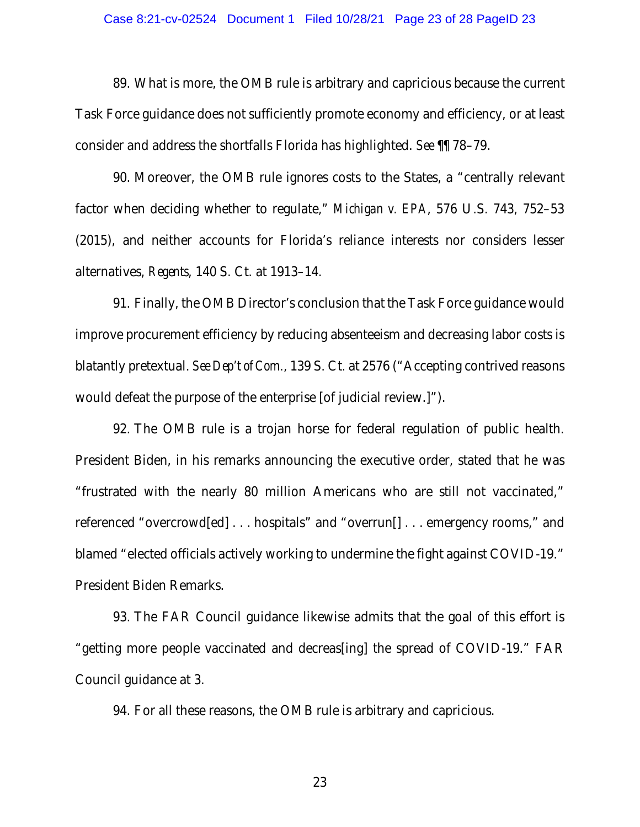#### Case 8:21-cv-02524 Document 1 Filed 10/28/21 Page 23 of 28 PageID 23

89. What is more, the OMB rule is arbitrary and capricious because the current Task Force guidance does not sufficiently promote economy and efficiency, or at least consider and address the shortfalls Florida has highlighted. *See* ¶¶ 78–79.

90. Moreover, the OMB rule ignores costs to the States, a "centrally relevant factor when deciding whether to regulate," *Michigan v. EPA*, 576 U.S. 743, 752–53 (2015), and neither accounts for Florida's reliance interests nor considers lesser alternatives, *Regents*, 140 S. Ct. at 1913–14.

91. Finally, the OMB Director's conclusion that the Task Force guidance would improve procurement efficiency by reducing absenteeism and decreasing labor costs is blatantly pretextual. *See Dep't of Com.*, 139 S. Ct. at 2576 ("Accepting contrived reasons would defeat the purpose of the enterprise [of judicial review.]").

92. The OMB rule is a trojan horse for federal regulation of public health. President Biden, in his remarks announcing the executive order, stated that he was "frustrated with the nearly 80 million Americans who are still not vaccinated," referenced "overcrowd[ed] . . . hospitals" and "overrun[] . . . emergency rooms," and blamed "elected officials actively working to undermine the fight against COVID-19." President Biden Remarks.

93. The FAR Council guidance likewise admits that the goal of this effort is "getting more people vaccinated and decreas[ing] the spread of COVID-19." FAR Council guidance at 3.

94. For all these reasons, the OMB rule is arbitrary and capricious.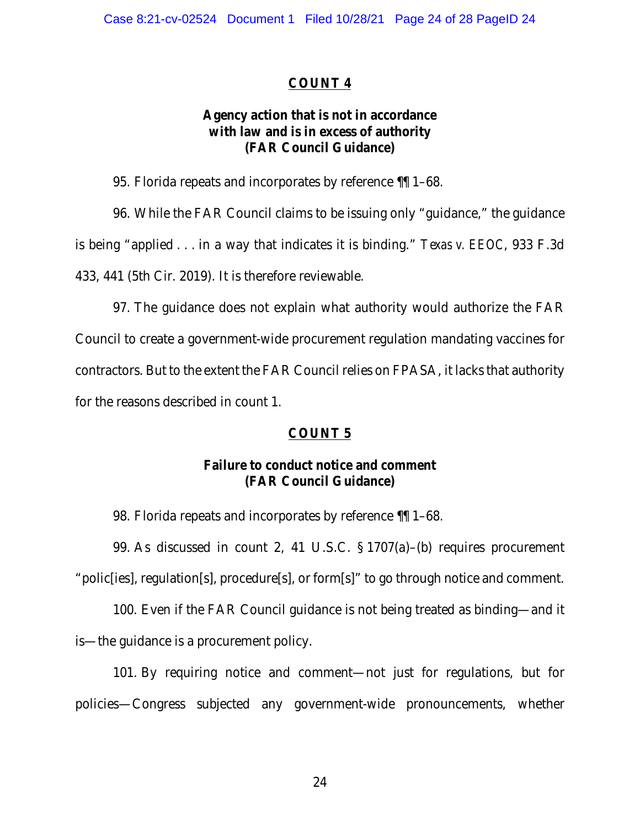# COUNT 4

# Agency action that is not in accordance with law and is in excess of authority (FAR Council Guidance)

95. Florida repeats and incorporates by reference ¶¶ 1–68.

96. While the FAR Council claims to be issuing only "guidance," the guidance is being "applied . . . in a way that indicates it is binding." *Texas v. EEOC*, 933 F.3d 433, 441 (5th Cir. 2019). It is therefore reviewable.

97. The guidance does not explain what authority would authorize the FAR Council to create a government-wide procurement regulation mandating vaccines for contractors. But to the extent the FAR Council relies on FPASA, it lacks that authority for the reasons described in count 1.

## COUNT 5

# Failure to conduct notice and comment (FAR Council Guidance)

98. Florida repeats and incorporates by reference ¶¶ 1–68.

99. As discussed in count 2, 41 U.S.C. § 1707(a)–(b) requires procurement "polic[ies], regulation[s], procedure[s], or form[s]" to go through notice and comment.

100. Even if the FAR Council guidance is not being treated as binding—and it is—the guidance is a procurement policy.

101. By requiring notice and comment—not just for regulations, but for policies—Congress subjected any government-wide pronouncements, whether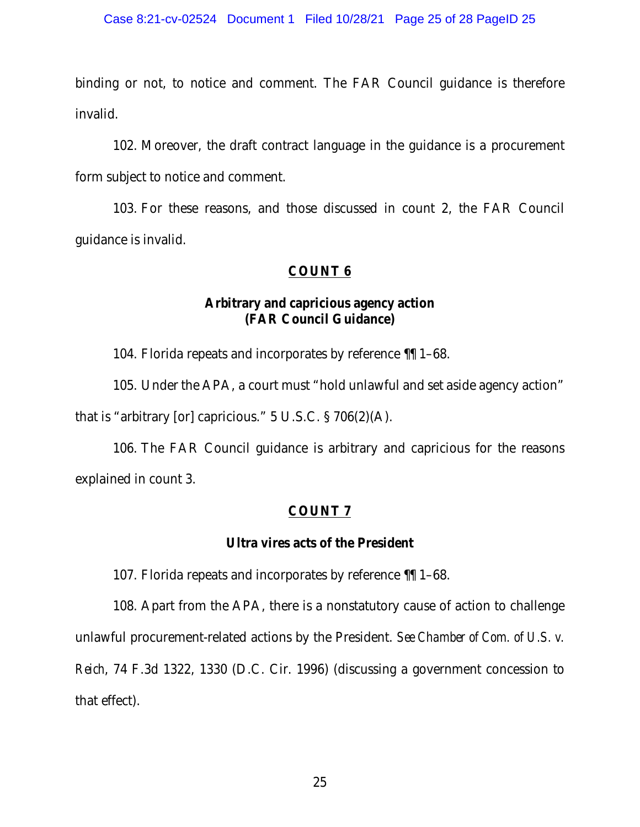binding or not, to notice and comment. The FAR Council guidance is therefore invalid.

102. Moreover, the draft contract language in the guidance is a procurement form subject to notice and comment.

103. For these reasons, and those discussed in count 2, the FAR Council guidance is invalid.

## COUNT 6

# Arbitrary and capricious agency action (FAR Council Guidance)

104. Florida repeats and incorporates by reference ¶¶ 1–68.

105. Under the APA, a court must "hold unlawful and set aside agency action" that is "arbitrary [or] capricious." 5 U.S.C. § 706(2)(A).

106. The FAR Council guidance is arbitrary and capricious for the reasons explained in count 3.

## COUNT 7

### Ultra vires acts of the President

107. Florida repeats and incorporates by reference ¶¶ 1–68.

108. Apart from the APA, there is a nonstatutory cause of action to challenge unlawful procurement-related actions by the President. *See Chamber of Com. of U.S. v. Reich*, 74 F.3d 1322, 1330 (D.C. Cir. 1996) (discussing a government concession to that effect).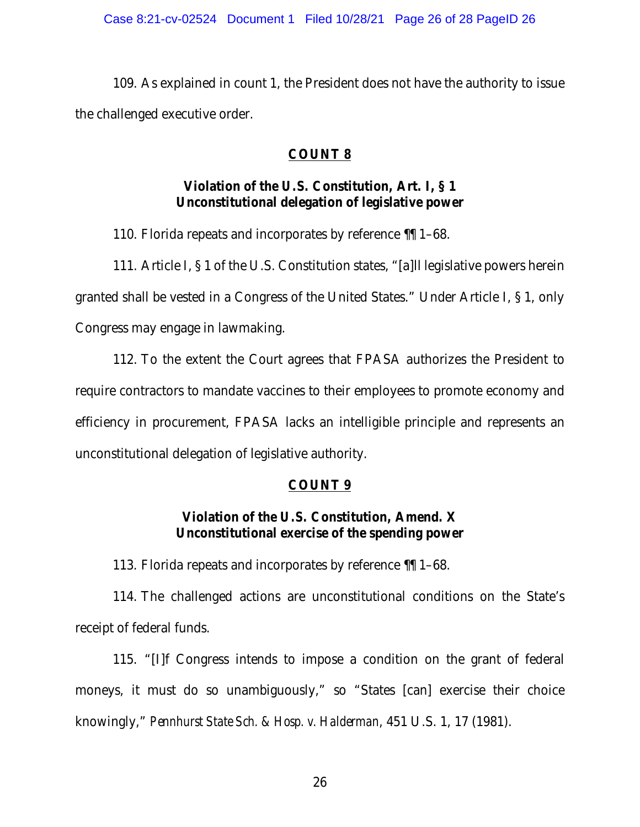109. As explained in count 1, the President does not have the authority to issue the challenged executive order.

# COUNT 8

# Violation of the U.S. Constitution, Art. I, § 1 Unconstitutional delegation of legislative power

110. Florida repeats and incorporates by reference ¶¶ 1–68.

111. Article I, § 1 of the U.S. Constitution states, "[a]ll legislative powers herein granted shall be vested in a Congress of the United States." Under Article I, § 1, only Congress may engage in lawmaking.

112. To the extent the Court agrees that FPASA authorizes the President to require contractors to mandate vaccines to their employees to promote economy and efficiency in procurement, FPASA lacks an intelligible principle and represents an unconstitutional delegation of legislative authority.

## COUNT 9

# Violation of the U.S. Constitution, Amend. X Unconstitutional exercise of the spending power

113. Florida repeats and incorporates by reference ¶¶ 1–68.

114. The challenged actions are unconstitutional conditions on the State's receipt of federal funds.

115. "[I]f Congress intends to impose a condition on the grant of federal moneys, it must do so unambiguously," so "States [can] exercise their choice knowingly," *Pennhurst State Sch. & Hosp. v. Halderman*, 451 U.S. 1, 17 (1981).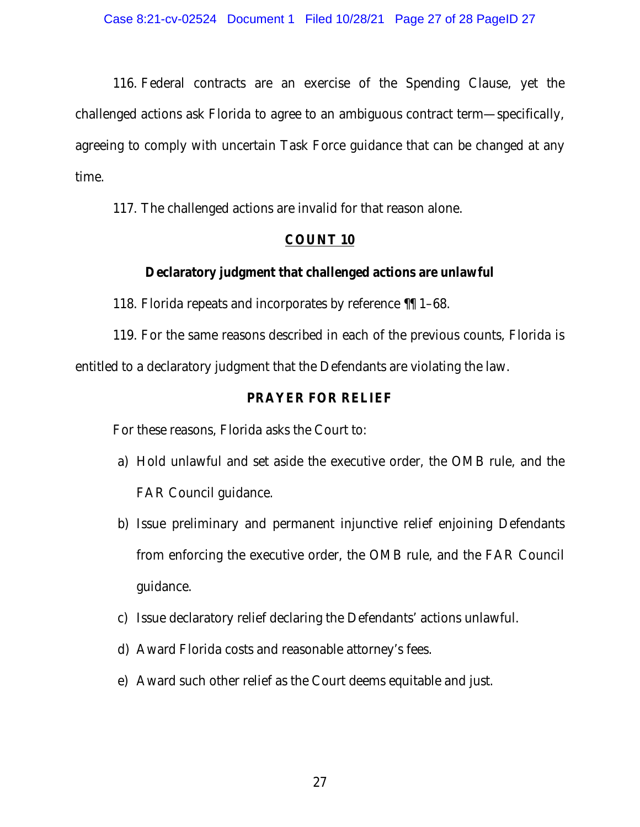116. Federal contracts are an exercise of the Spending Clause, yet the challenged actions ask Florida to agree to an ambiguous contract term—specifically, agreeing to comply with uncertain Task Force guidance that can be changed at any time.

117. The challenged actions are invalid for that reason alone.

# COUNT 10

# Declaratory judgment that challenged actions are unlawful

118. Florida repeats and incorporates by reference ¶¶ 1–68.

119. For the same reasons described in each of the previous counts, Florida is entitled to a declaratory judgment that the Defendants are violating the law.

## PRAYER FOR RELIEF

For these reasons, Florida asks the Court to:

- a) Hold unlawful and set aside the executive order, the OMB rule, and the FAR Council guidance.
- b) Issue preliminary and permanent injunctive relief enjoining Defendants from enforcing the executive order, the OMB rule, and the FAR Council guidance.
- c) Issue declaratory relief declaring the Defendants' actions unlawful.
- d) Award Florida costs and reasonable attorney's fees.
- e) Award such other relief as the Court deems equitable and just.